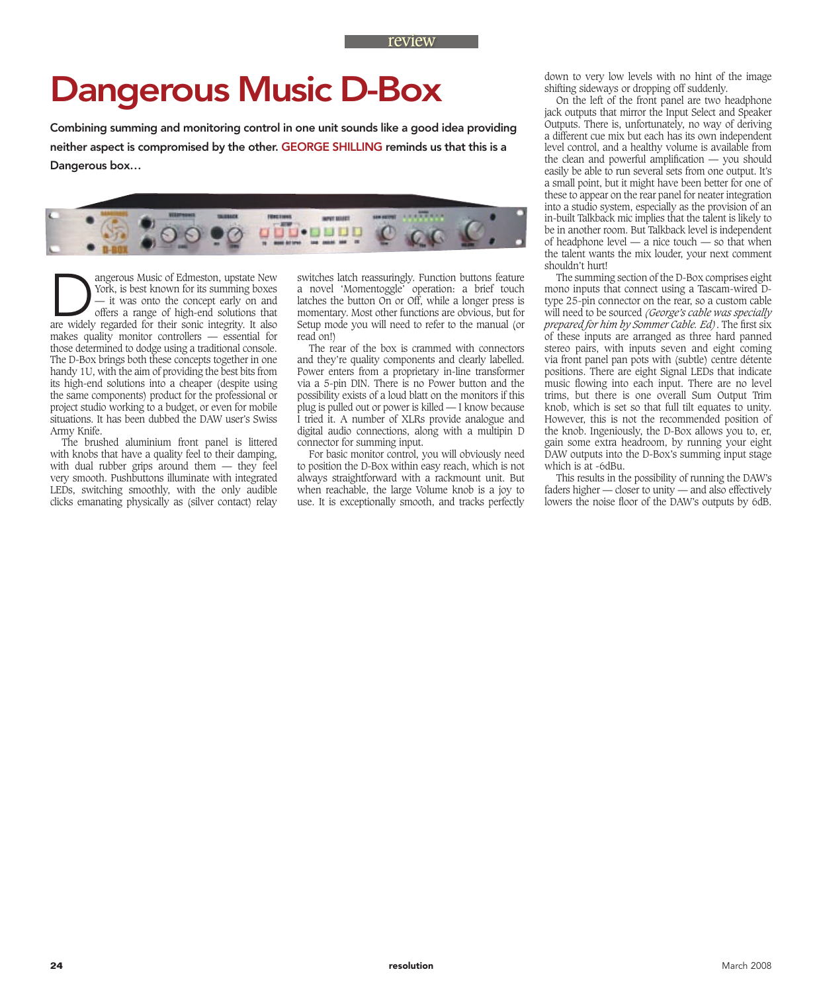## Dangerous Music D-Box

Combining summing and monitoring control in one unit sounds like a good idea providing neither aspect is compromised by the other. GEORGE SHILLING reminds us that this is a Dangerous box…



**Dangerous Music of Edmeston, upstate New York, is best known for its summing boxes** — it was onto the concept early on and offers a range of high-end solutions that are widely regarded for their sonic integrity. It also York, is best known for its summing boxes — it was onto the concept early on and offers a range of high-end solutions that are widely regarded for their sonic integrity. It also makes quality monitor controllers — essential for those determined to dodge using a traditional console. The D-Box brings both these concepts together in one handy 1U, with the aim of providing the best bits from its high-end solutions into a cheaper (despite using the same components) product for the professional or project studio working to a budget, or even for mobile situations. It has been dubbed the DAW user's Swiss Army Knife.

The brushed aluminium front panel is littered with knobs that have a quality feel to their damping, with dual rubber grips around them — they feel very smooth. Pushbuttons illuminate with integrated LEDs, switching smoothly, with the only audible clicks emanating physically as (silver contact) relay use. It is exceptionally smooth, and track-

switches latch reassuringly. Function buttons feature a novel 'Momentoggle' operation: a brief touch latches the button On or Off, while a longer press is momentary. Most other functions are obvious, but for Setup mode you will need to refer to the manual (or read on!)

The rear of the box is crammed with connectors and they're quality components and clearly labelled. Power enters from a proprietary in-line transformer via a 5-pin DIN. There is no Power button and the possibility exists of a loud blatt on the monitors if this plug is pulled out or power is killed — I know because I tried it. A number of XLRs provide analogue and digital audio connections, along with a multipin D connector for summing input.

For basic monitor control, you will obviously need to position the D-Box within easy reach, which is not always straightforward with a rackmount unit. But when reachable, the large Volume knob is a joy to use. It is exceptionally smooth, and tracks perfectly

down to very low levels with no hint of the image shifting sideways or dropping off suddenly.

On the left of the front panel are two headphone jack outputs that mirror the Input Select and Speaker Outputs. There is, unfortunately, no way of deriving a different cue mix but each has its own independent level control, and a healthy volume is available from the clean and powerful amplification  $-$  you should easily be able to run several sets from one output. It's a small point, but it might have been better for one of these to appear on the rear panel for neater integration into a studio system, especially as the provision of an in-built Talkback mic implies that the talent is likely to be in another room. But Talkback level is independent of headphone level — a nice touch — so that when the talent wants the mix louder, your next comment shouldn't hurt!

The summing section of the D-Box comprises eight mono inputs that connect using a Tascam-wired Dtype 25-pin connector on the rear, so a custom cable will need to be sourced *(George's cable was specially prepared for him by Sommer Cable. Ed)*. The first six of these inputs are arranged as three hard panned stereo pairs, with inputs seven and eight coming via front panel pan pots with (subtle) centre détente positions. There are eight Signal LEDs that indicate music flowing into each input. There are no level trims, but there is one overall Sum Output Trim knob, which is set so that full tilt equates to unity. However, this is not the recommended position of the knob. Ingeniously, the D-Box allows you to, er, gain some extra headroom, by running your eight DAW outputs into the D-Box's summing input stage which is at -6dBu.

This results in the possibility of running the DAW's faders higher — closer to unity — and also effectively lowers the noise floor of the DAW's outputs by 6dB.